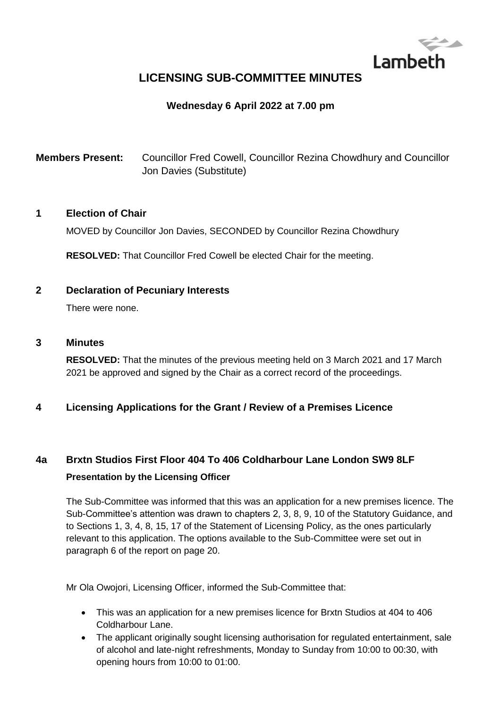

## **LICENSING SUB-COMMITTEE MINUTES**

## **Wednesday 6 April 2022 at 7.00 pm**

**Members Present:** Councillor Fred Cowell, Councillor Rezina Chowdhury and Councillor Jon Davies (Substitute)

### **1 Election of Chair**

MOVED by Councillor Jon Davies, SECONDED by Councillor Rezina Chowdhury

**RESOLVED:** That Councillor Fred Cowell be elected Chair for the meeting.

### **2 Declaration of Pecuniary Interests**

There were none.

### **3 Minutes**

**RESOLVED:** That the minutes of the previous meeting held on 3 March 2021 and 17 March 2021 be approved and signed by the Chair as a correct record of the proceedings.

### **4 Licensing Applications for the Grant / Review of a Premises Licence**

# **4a Brxtn Studios First Floor 404 To 406 Coldharbour Lane London SW9 8LF Presentation by the Licensing Officer**

The Sub-Committee was informed that this was an application for a new premises licence. The Sub-Committee's attention was drawn to chapters 2, 3, 8, 9, 10 of the Statutory Guidance, and to Sections 1, 3, 4, 8, 15, 17 of the Statement of Licensing Policy, as the ones particularly relevant to this application. The options available to the Sub-Committee were set out in paragraph 6 of the report on page 20.

Mr Ola Owojori, Licensing Officer, informed the Sub-Committee that:

- This was an application for a new premises licence for Brxtn Studios at 404 to 406 Coldharbour Lane.
- The applicant originally sought licensing authorisation for regulated entertainment, sale of alcohol and late-night refreshments, Monday to Sunday from 10:00 to 00:30, with opening hours from 10:00 to 01:00.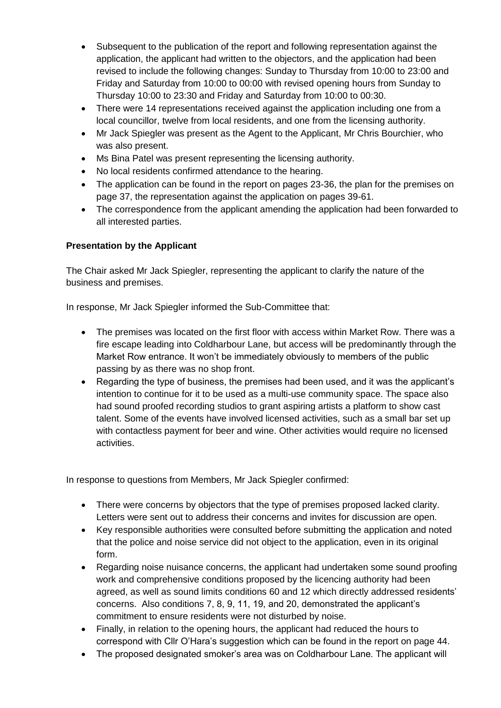- Subsequent to the publication of the report and following representation against the application, the applicant had written to the objectors, and the application had been revised to include the following changes: Sunday to Thursday from 10:00 to 23:00 and Friday and Saturday from 10:00 to 00:00 with revised opening hours from Sunday to Thursday 10:00 to 23:30 and Friday and Saturday from 10:00 to 00:30.
- There were 14 representations received against the application including one from a local councillor, twelve from local residents, and one from the licensing authority.
- Mr Jack Spiegler was present as the Agent to the Applicant, Mr Chris Bourchier, who was also present.
- Ms Bina Patel was present representing the licensing authority.
- No local residents confirmed attendance to the hearing.
- The application can be found in the report on pages 23-36, the plan for the premises on page 37, the representation against the application on pages 39-61.
- The correspondence from the applicant amending the application had been forwarded to all interested parties.

### **Presentation by the Applicant**

The Chair asked Mr Jack Spiegler, representing the applicant to clarify the nature of the business and premises.

In response, Mr Jack Spiegler informed the Sub-Committee that:

- The premises was located on the first floor with access within Market Row. There was a fire escape leading into Coldharbour Lane, but access will be predominantly through the Market Row entrance. It won't be immediately obviously to members of the public passing by as there was no shop front.
- Regarding the type of business, the premises had been used, and it was the applicant's intention to continue for it to be used as a multi-use community space. The space also had sound proofed recording studios to grant aspiring artists a platform to show cast talent. Some of the events have involved licensed activities, such as a small bar set up with contactless payment for beer and wine. Other activities would require no licensed activities.

In response to questions from Members, Mr Jack Spiegler confirmed:

- There were concerns by objectors that the type of premises proposed lacked clarity. Letters were sent out to address their concerns and invites for discussion are open.
- Key responsible authorities were consulted before submitting the application and noted that the police and noise service did not object to the application, even in its original form.
- Regarding noise nuisance concerns, the applicant had undertaken some sound proofing work and comprehensive conditions proposed by the licencing authority had been agreed, as well as sound limits conditions 60 and 12 which directly addressed residents' concerns. Also conditions 7, 8, 9, 11, 19, and 20, demonstrated the applicant's commitment to ensure residents were not disturbed by noise.
- Finally, in relation to the opening hours, the applicant had reduced the hours to correspond with Cllr O'Hara's suggestion which can be found in the report on page 44.
- The proposed designated smoker's area was on Coldharbour Lane. The applicant will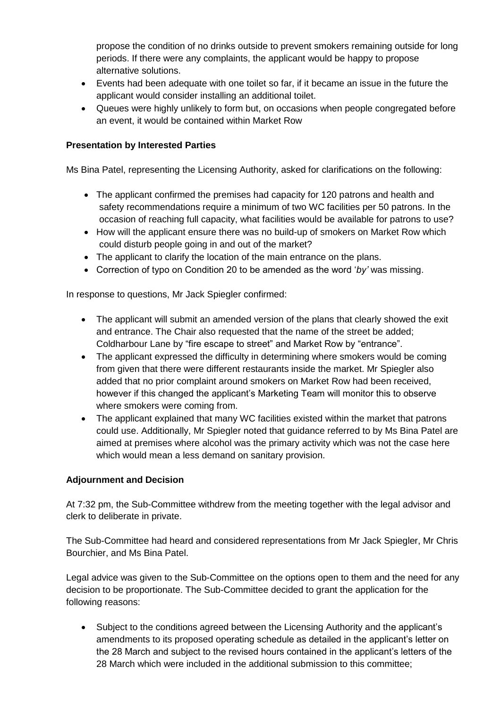propose the condition of no drinks outside to prevent smokers remaining outside for long periods. If there were any complaints, the applicant would be happy to propose alternative solutions.

- Events had been adequate with one toilet so far, if it became an issue in the future the applicant would consider installing an additional toilet.
- Queues were highly unlikely to form but, on occasions when people congregated before an event, it would be contained within Market Row

### **Presentation by Interested Parties**

Ms Bina Patel, representing the Licensing Authority, asked for clarifications on the following:

- The applicant confirmed the premises had capacity for 120 patrons and health and safety recommendations require a minimum of two WC facilities per 50 patrons. In the occasion of reaching full capacity, what facilities would be available for patrons to use?
- How will the applicant ensure there was no build-up of smokers on Market Row which could disturb people going in and out of the market?
- The applicant to clarify the location of the main entrance on the plans.
- Correction of typo on Condition 20 to be amended as the word '*by'* was missing.

In response to questions, Mr Jack Spiegler confirmed:

- The applicant will submit an amended version of the plans that clearly showed the exit and entrance. The Chair also requested that the name of the street be added; Coldharbour Lane by "fire escape to street" and Market Row by "entrance".
- The applicant expressed the difficulty in determining where smokers would be coming from given that there were different restaurants inside the market. Mr Spiegler also added that no prior complaint around smokers on Market Row had been received, however if this changed the applicant's Marketing Team will monitor this to observe where smokers were coming from.
- The applicant explained that many WC facilities existed within the market that patrons could use. Additionally, Mr Spiegler noted that guidance referred to by Ms Bina Patel are aimed at premises where alcohol was the primary activity which was not the case here which would mean a less demand on sanitary provision.

### **Adjournment and Decision**

At 7:32 pm, the Sub-Committee withdrew from the meeting together with the legal advisor and clerk to deliberate in private.

The Sub-Committee had heard and considered representations from Mr Jack Spiegler, Mr Chris Bourchier, and Ms Bina Patel.

Legal advice was given to the Sub-Committee on the options open to them and the need for any decision to be proportionate. The Sub-Committee decided to grant the application for the following reasons:

 Subject to the conditions agreed between the Licensing Authority and the applicant's amendments to its proposed operating schedule as detailed in the applicant's letter on the 28 March and subject to the revised hours contained in the applicant's letters of the 28 March which were included in the additional submission to this committee;